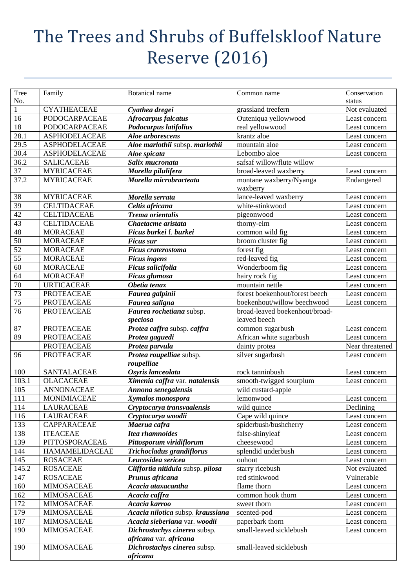## The Trees and Shrubs of Buffelskloof Nature Reserve (2016)

| Tree            | Family                                | <b>Botanical</b> name                        | Common name                             | Conservation            |
|-----------------|---------------------------------------|----------------------------------------------|-----------------------------------------|-------------------------|
| No.             |                                       |                                              |                                         |                         |
| $\mathbf{1}$    | <b>CYATHEACEAE</b>                    |                                              | grassland treefern                      | status<br>Not evaluated |
|                 |                                       | Cyathea dregei                               |                                         |                         |
| 16<br>18        | PODOCARPACEAE<br><b>PODOCARPACEAE</b> | Afrocarpus falcatus<br>Podocarpus latifolius | Outeniqua yellowwood<br>real yellowwood | Least concern           |
|                 |                                       |                                              |                                         | Least concern           |
| 28.1            | <b>ASPHODELACEAE</b>                  | Aloe arborescens                             | krantz aloe                             | Least concern           |
| 29.5            | <b>ASPHODELACEAE</b>                  | Aloe marlothii subsp. marlothii              | mountain aloe                           | Least concern           |
| 30.4            | <b>ASPHODELACEAE</b>                  | Aloe spicata                                 | Lebombo aloe                            | Least concern           |
| 36.2            | <b>SALICACEAE</b>                     | Salix mucronata                              | safsaf willow/flute willow              |                         |
| 37              | <b>MYRICACEAE</b>                     | Morella pilulifera                           | broad-leaved waxberry                   | Least concern           |
| 37.2            | <b>MYRICACEAE</b>                     | Morella microbracteata                       | montane waxberry/Nyanga                 | Endangered              |
|                 |                                       |                                              | waxberry                                |                         |
| 38              | <b>MYRICACEAE</b>                     | Morella serrata                              | lance-leaved waxberry                   | Least concern           |
| 39              | <b>CELTIDACEAE</b>                    | Celtis africana                              | white-stinkwood                         | Least concern           |
| 42              | <b>CELTIDACEAE</b>                    | <b>Trema</b> orientalis                      | pigeonwood                              | Least concern           |
| 43              | <b>CELTIDACEAE</b>                    | Chaetacme aristata                           | thorny-elm                              | Least concern           |
| 48              | <b>MORACEAE</b>                       | Ficus burkei f. burkei                       | common wild fig                         | Least concern           |
| 50              | <b>MORACEAE</b>                       | <b>Ficus sur</b>                             | broom cluster fig                       | Least concern           |
| 52              | <b>MORACEAE</b>                       | <b>Ficus craterostoma</b>                    | forest fig                              | Least concern           |
| 55              | <b>MORACEAE</b>                       | <b>Ficus ingens</b>                          | red-leaved fig                          | Least concern           |
| 60              | <b>MORACEAE</b>                       | Ficus salicifolia                            | Wonderboom fig                          | Least concern           |
| 64              | <b>MORACEAE</b>                       | Ficus glumosa                                | hairy rock fig                          | Least concern           |
| 70              | <b>URTICACEAE</b>                     | Obetia tenax                                 | mountain nettle                         | Least concern           |
| $\overline{73}$ | <b>PROTEACEAE</b>                     | Faurea galpinii                              | forest boekenhout/forest beech          | Least concern           |
| 75              | <b>PROTEACEAE</b>                     | Faurea saligna                               | boekenhout/willow beechwood             | Least concern           |
| 76              | <b>PROTEACEAE</b>                     | Faurea rochetiana subsp.                     | broad-leaved boekenhout/broad-          |                         |
|                 |                                       | speciosa                                     | leaved beech                            |                         |
| 87              | <b>PROTEACEAE</b>                     | Protea caffra subsp. caffra                  | common sugarbush                        | Least concern           |
| 89              | <b>PROTEACEAE</b>                     | Protea gaguedi                               | African white sugarbush                 | Least concern           |
|                 | <b>PROTEACEAE</b>                     | Protea parvula                               | dainty protea                           | Near threatened         |
| 96              | <b>PROTEACEAE</b>                     | Protea roupelliae subsp.                     | silver sugarbush                        | Least concern           |
|                 |                                       | roupelliae                                   |                                         |                         |
| 100             | <b>SANTALACEAE</b>                    | Osyris lanceolata                            | rock tanninbush                         | Least concern           |
| 103.1           | <b>OLACACEAE</b>                      | Ximenia caffra var. natalensis               | smooth-twigged sourplum                 | Least concern           |
| 105             | <b>ANNONACEAE</b>                     | Annona senegalensis                          | wild custard-apple                      |                         |
| 111             | MONIMIACEAE                           | Xymalos monospora                            | lemonwood                               | Least concern           |
| 114             | <b>LAURACEAE</b>                      | Cryptocarya transvaalensis                   | wild quince                             | Declining               |
| 116             | <b>LAURACEAE</b>                      | Cryptocarya woodii                           | Cape wild quince                        | Least concern           |
| 133             | CAPPARACEAE                           | Maerua cafra                                 | spiderbush/bushcherry                   | Least concern           |
| 138             | <b>ITEACEAE</b>                       | <b>Itea rhamnoides</b>                       | false-shinyleaf                         | Least concern           |
| 139             | PITTOSPORACEAE                        | Pittosporum viridiflorum                     | cheesewood                              | Least concern           |
| 144             | <b>HAMAMELIDACEAE</b>                 | Trichocladus grandiflorus                    | splendid underbush                      | Least concern           |
| 145             | <b>ROSACEAE</b>                       | Leucosidea sericea                           | ouhout                                  | Least concern           |
| 145.2           | <b>ROSACEAE</b>                       | Cliffortia nitidula subsp. pilosa            | starry ricebush                         | Not evaluated           |
| 147             | <b>ROSACEAE</b>                       | Prunus africana                              | red stinkwood                           | Vulnerable              |
| 160             | <b>MIMOSACEAE</b>                     | Acacia ataxacantha                           | flame thorn                             | Least concern           |
| 162             | <b>MIMOSACEAE</b>                     | Acacia caffra                                | common hook thorn                       | Least concern           |
| 172             | <b>MIMOSACEAE</b>                     | Acacia karroo                                | sweet thorn                             | Least concern           |
| 179             | <b>MIMOSACEAE</b>                     | Acacia nilotica subsp. kraussiana            | scented-pod                             | Least concern           |
| 187             | <b>MIMOSACEAE</b>                     | Acacia sieberiana var. woodii                | paperbark thorn                         | Least concern           |
| 190             | <b>MIMOSACEAE</b>                     | Dichrostachys cinerea subsp.                 | small-leaved sicklebush                 | Least concern           |
|                 |                                       | africana var. africana                       |                                         |                         |
| 190             | <b>MIMOSACEAE</b>                     | Dichrostachys cinerea subsp.                 | small-leaved sicklebush                 |                         |
|                 |                                       | africana                                     |                                         |                         |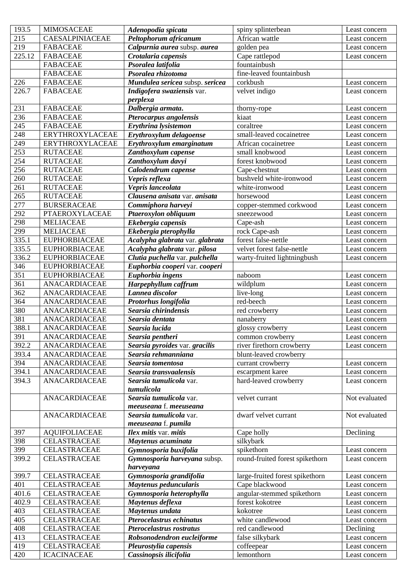| 193.5  | <b>MIMOSACEAE</b>    | Adenopodia spicata              | spiny splinterbean              | Least concern |
|--------|----------------------|---------------------------------|---------------------------------|---------------|
| 215    | CAESALPINIACEAE      | Peltophorum africanum           | African wattle                  | Least concern |
| 219    | <b>FABACEAE</b>      | Calpurnia aurea subsp. aurea    | golden pea                      | Least concern |
| 225.12 | <b>FABACEAE</b>      | Crotalaria capensis             | Cape rattlepod                  | Least concern |
|        | <b>FABACEAE</b>      | Psoralea latifolia              | fountainbush                    |               |
|        | <b>FABACEAE</b>      | Psoralea rhizotoma              | fine-leaved fountainbush        |               |
| 226    | <b>FABACEAE</b>      | Mundulea sericea subsp. sericea | corkbush                        | Least concern |
| 226.7  | <b>FABACEAE</b>      | Indigofera swaziensis var.      | velvet indigo                   | Least concern |
|        |                      | perplexa                        |                                 |               |
| 231    | <b>FABACEAE</b>      | Dalbergia armata.               | thorny-rope                     | Least concern |
| 236    | <b>FABACEAE</b>      | Pterocarpus angolensis          | kiaat                           | Least concern |
| 245    | <b>FABACEAE</b>      | Erythrina lysistemon            | coraltree                       | Least concern |
| 248    | ERYTHROXYLACEAE      | Erythroxylum delagoense         | small-leaved cocainetree        | Least concern |
| 249    | ERYTHROXYLACEAE      | Erythroxylum emarginatum        | African cocainetree             | Least concern |
| 253    | <b>RUTACEAE</b>      | Zanthoxylum capense             | small knobwood                  | Least concern |
|        |                      |                                 | forest knobwood                 |               |
| 254    | <b>RUTACEAE</b>      | Zanthoxylum davyi               |                                 | Least concern |
| 256    | <b>RUTACEAE</b>      | Calodendrum capense             | Cape-chestnut                   | Least concern |
| 260    | <b>RUTACEAE</b>      | Vepris reflexa                  | bushveld white-ironwood         | Least concern |
| 261    | <b>RUTACEAE</b>      | Vepris lanceolata               | white-ironwood                  | Least concern |
| 265    | <b>RUTACEAE</b>      | Clausena anisata var. anisata   | horsewood                       | Least concern |
| 277    | <b>BURSERACEAE</b>   | Commiphora harveyi              | copper-stemmed corkwood         | Least concern |
| 292    | PTAEROXYLACEAE       | Ptaeroxylon obliquum            | sneezewood                      | Least concern |
| 298    | <b>MELIACEAE</b>     | Ekebergia capensis              | Cape-ash                        | Least concern |
| 299    | <b>MELIACEAE</b>     | Ekebergia pterophylla           | rock Cape-ash                   | Least concern |
| 335.1  | <b>EUPHORBIACEAE</b> | Acalypha glabrata var. glabrata | forest false-nettle             | Least concern |
| 335.5  | <b>EUPHORBIACEAE</b> | Acalypha glabrata var. pilosa   | velvet forest false-nettle      | Least concern |
| 336.2  | <b>EUPHORBIACEAE</b> | Clutia puchella var. pulchella  | warty-fruited lightningbush     | Least concern |
| 346    | <b>EUPHORBIACEAE</b> | Euphorbia cooperi var. cooperi  |                                 |               |
| 351    | <b>EUPHORBIACEAE</b> | Euphorbia ingens                | naboom                          | Least concern |
| 361    | ANACARDIACEAE        | Harpephyllum caffrum            | wildplum                        | Least concern |
| 362    | ANACARDIACEAE        | Lannea discolor                 | live-long                       | Least concern |
| 364    | ANACARDIACEAE        | Protorhus longifolia            | red-beech                       | Least concern |
| 380    | ANACARDIACEAE        | Searsia chirindensis            | red crowberry                   | Least concern |
| 381    | <b>ANACARDIACEAE</b> | Searsia dentata                 | nanaberry                       | Least concern |
| 388.1  | <b>ANACARDIACEAE</b> | Searsia lucida                  | glossy crowberry                | Least concern |
| 391    | ANACARDIACEAE        | Searsia pentheri                | common crowberry                | Least concern |
| 392.2  | ANACARDIACEAE        | Searsia pyroides var. gracilis  | river firethorn crowberry       | Least concern |
| 393.4  | <b>ANACARDIACEAE</b> | Searsia rehmanniana             | blunt-leaved crowberry          |               |
| 394    | <b>ANACARDIACEAE</b> | Searsia tomentosa               | currant crowberry               | Least concern |
|        |                      | Searsia transvaalensis          |                                 |               |
| 394.1  | ANACARDIACEAE        |                                 | escarpment karee                | Least concern |
| 394.3  | ANACARDIACEAE        | Searsia tumulicola var.         | hard-leaved crowberry           | Least concern |
|        |                      | tumulicola                      |                                 |               |
|        | <b>ANACARDIACEAE</b> | Searsia tumulicola var.         | velvet currant                  | Not evaluated |
|        |                      | meeuseana f. meeuseana          |                                 |               |
|        | <b>ANACARDIACEAE</b> | Searsia tumulicola var.         | dwarf velvet currant            | Not evaluated |
|        |                      | meeuseana f. pumila             |                                 |               |
| 397    | <b>AQUIFOLIACEAE</b> | Ilex mitis var. mitis           | Cape holly                      | Declining     |
| 398    | CELASTRACEAE         | Maytenus acuminata              | silkybark                       |               |
| 399    | <b>CELASTRACEAE</b>  | Gymnosporia buxifolia           | spikethorn                      | Least concern |
| 399.2  | <b>CELASTRACEAE</b>  | Gymnosporia harveyana subsp.    | round-fruited forest spikethorn | Least concern |
|        |                      | harveyana                       |                                 |               |
| 399.7  | CELASTRACEAE         | Gymnosporia grandifolia         | large-fruited forest spikethorn | Least concern |
| 401    | <b>CELASTRACEAE</b>  | Maytenus peduncularis           | Cape blackwood                  | Least concern |
| 401.6  | CELASTRACEAE         | Gymnosporia heterophylla        | angular-stemmed spikethorn      | Least concern |
| 402.9  | CELASTRACEAE         | Maytenus deflexa                | forest kokotree                 | Least concern |
| 403    | CELASTRACEAE         | Maytenus undata                 | kokotree                        | Least concern |
| 405    | CELASTRACEAE         | Pterocelastrus echinatus        | white candlewood                | Least concern |
| 408    | CELASTRACEAE         | Pterocelastrus rostratus        | red candlewood                  | Declining     |
| 413    | CELASTRACEAE         | Robsonodendron eucleiforme      | false silkybark                 | Least concern |
| 419    | <b>CELASTRACEAE</b>  | Pleurostylia capensis           | coffeepear                      | Least concern |
| 420    | <b>ICACINACEAE</b>   | Cassinopsis ilicifolia          | lemonthorn                      |               |
|        |                      |                                 |                                 | Least concern |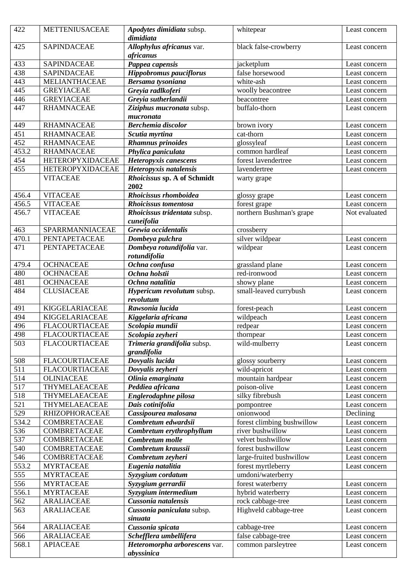| 422            | METTENIUSACEAE          | Apodytes dimidiata subsp.<br>dimidiata     | whitepear                  | Least concern |
|----------------|-------------------------|--------------------------------------------|----------------------------|---------------|
| 425            | <b>SAPINDACEAE</b>      | Allophylus africanus var.<br>africanus     | black false-crowberry      | Least concern |
| 433            | <b>SAPINDACEAE</b>      | Pappea capensis                            | jacketplum                 | Least concern |
| 438            | <b>SAPINDACEAE</b>      | <b>Hippobromus pauciflorus</b>             | false horsewood            | Least concern |
| 443            | MELIANTHACEAE           | Bersama tysoniana                          | white-ash                  | Least concern |
| 445            | <b>GREYIACEAE</b>       | Greyia radlkoferi                          | woolly beacontree          | Least concern |
| 446            | <b>GREYIACEAE</b>       | Greyia sutherlandii                        | beacontree                 | Least concern |
| 447            | <b>RHAMNACEAE</b>       | Ziziphus mucronata subsp.<br>mucronata     | buffalo-thorn              | Least concern |
| 449            | <b>RHAMNACEAE</b>       | <b>Berchemia</b> discolor                  | brown ivory                | Least concern |
| 451            | <b>RHAMNACEAE</b>       | Scutia myrtina                             | cat-thorn                  | Least concern |
| 452            | <b>RHAMNACEAE</b>       | <b>Rhamnus prinoides</b>                   | glossyleaf                 | Least concern |
| 453.2          | <b>RHAMNACEAE</b>       | Phylica paniculata                         | common hardleaf            | Least concern |
| 454            | <b>HETEROPYXIDACEAE</b> | Heteropyxis canescens                      | forest lavendertree        | Least concern |
| 455            | <b>HETEROPYXIDACEAE</b> | Heteropyxis natalensis                     | lavendertree               | Least concern |
|                | <b>VITACEAE</b>         | Rhoicissus sp. A of Schmidt                | warty grape                |               |
|                | <b>VITACEAE</b>         | 2002<br>Rhoicissus rhomboidea              |                            |               |
| 456.4<br>456.5 | <b>VITACEAE</b>         | Rhoicissus tomentosa                       | glossy grape               | Least concern |
|                |                         |                                            | forest grape               | Least concern |
| 456.7          | <b>VITACEAE</b>         | Rhoicissus tridentata subsp.<br>cuneifolia | northern Bushman's grape   | Not evaluated |
| 463            | SPARRMANNIACEAE         | Grewia occidentalis                        | crossberry                 |               |
| 470.1          | PENTAPETACEAE           | Dombeya pulchra                            | silver wildpear            | Least concern |
| 471            | PENTAPETACEAE           | Dombeya rotundifolia var.<br>rotundifolia  | wildpear                   | Least concern |
| 479.4          | <b>OCHNACEAE</b>        | Ochna confusa                              | grassland plane            | Least concern |
| 480            | <b>OCHNACEAE</b>        | Ochna holstii                              | red-ironwood               | Least concern |
| 481            | <b>OCHNACEAE</b>        | Ochna natalitia                            | showy plane                | Least concern |
| 484            | <b>CLUSIACEAE</b>       | Hypericum revolutum subsp.<br>revolutum    | small-leaved currybush     | Least concern |
| 491            | <b>KIGGELARIACEAE</b>   | Rawsonia lucida                            | forest-peach               | Least concern |
| 494            | <b>KIGGELARIACEAE</b>   | Kiggelaria africana                        | wildpeach                  | Least concern |
| 496            | <b>FLACOURTIACEAE</b>   | Scolopia mundii                            | redpear                    | Least concern |
| 498            | <b>FLACOURTIACEAE</b>   | Scolopia zeyheri                           | thornpear                  | Least concern |
| 503            | <b>FLACOURTIACEAE</b>   | Trimeria grandifolia subsp.<br>grandifolia | wild-mulberry              | Least concern |
| 508            | <b>FLACOURTIACEAE</b>   | Dovyalis lucida                            | glossy sourberry           | Least concern |
| 511            | <b>FLACOURTIACEAE</b>   | Dovyalis zeyheri                           | wild-apricot               | Least concern |
| 514            | <b>OLINIACEAE</b>       | Olinia emarginata                          | mountain hardpear          | Least concern |
| 517            | THYMELAEACEAE           | Peddiea africana                           | poison-olive               | Least concern |
| 518            | THYMELAEACEAE           | Englerodaphne pilosa                       | silky fibrebush            | Least concern |
| 521            | THYMELAEACEAE           | Dais cotinifolia                           | pompontree                 | Least concern |
| 529            | <b>RHIZOPHORACEAE</b>   | Cassipourea malosana                       | onionwood                  | Declining     |
| 534.2          | <b>COMBRETACEAE</b>     | Combretum edwardsii                        | forest climbing bushwillow | Least concern |
| 536            | COMBRETACEAE            | Combretum erythrophyllum                   | river bushwillow           | Least concern |
| 537            | COMBRETACEAE            | Combretum molle                            | velvet bushwillow          | Least concern |
| 540            | <b>COMBRETACEAE</b>     | Combretum kraussii                         | forest bushwillow          | Least concern |
| 546            | <b>COMBRETACEAE</b>     | Combretum zeyheri                          | large-fruited bushwillow   | Least concern |
| 553.2          | <b>MYRTACEAE</b>        | Eugenia natalitia                          | forest myrtleberry         | Least concern |
| 555            | <b>MYRTACEAE</b>        | Syzygium cordatum                          | umdoni/waterberry          |               |
| 556            | <b>MYRTACEAE</b>        | Syzygium gerrardii                         | forest waterberry          | Least concern |
| 556.1          | <b>MYRTACEAE</b>        | Syzygium intermedium                       | hybrid waterberry          | Least concern |
| 562            | <b>ARALIACEAE</b>       | Cussonia natalensis                        | rock cabbage-tree          | Least concern |
| 563            | <b>ARALIACEAE</b>       | Cussonia paniculata subsp.<br>sinuata      | Highveld cabbage-tree      | Least concern |
| 564            | <b>ARALIACEAE</b>       | Cussonia spicata                           | cabbage-tree               | Least concern |
| 566            | <b>ARALIACEAE</b>       | Schefflera umbellifera                     | false cabbage-tree         | Least concern |
| 568.1          | <b>APIACEAE</b>         | Heteromorpha arborescens var.              | common parsleytree         | Least concern |
|                |                         | abyssinica                                 |                            |               |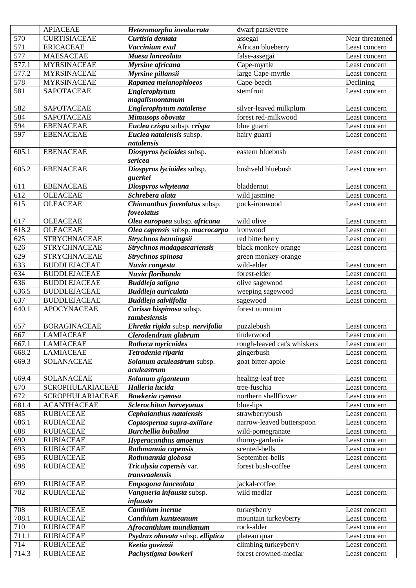|            | <b>APIACEAE</b>                      | Heteromorpha involucrata                                 | dwarf parsleytree           |                                |
|------------|--------------------------------------|----------------------------------------------------------|-----------------------------|--------------------------------|
| 570        | <b>CURTISIACEAE</b>                  | Curtisia dentata                                         | assegai                     | Near threatened                |
| 571        | <b>ERICACEAE</b>                     | Vaccinium exul                                           | African blueberry           | Least concern                  |
| 577        | <b>MAESACEAE</b>                     | Maesa lanceolata                                         | false-assegai               | Least concern                  |
| 577.1      | <b>MYRSINACEAE</b>                   | Myrsine africana                                         | Cape-myrtle                 | Least concern                  |
| 577.2      | <b>MYRSINACEAE</b>                   | Myrsine pillansii                                        | large Cape-myrtle           | Least concern                  |
| 578        | <b>MYRSINACEAE</b>                   | Rapanea melanophloeos                                    | Cape-beech                  | Declining                      |
| 581        | <b>SAPOTACEAE</b>                    | Englerophytum                                            | stemfruit                   | Least concern                  |
|            |                                      | magalismontanum                                          |                             |                                |
| 582        | <b>SAPOTACEAE</b>                    | Englerophytum natalense                                  | silver-leaved milkplum      | Least concern                  |
| 584        | <b>SAPOTACEAE</b>                    | Mimusops obovata                                         | forest red-milkwood         | Least concern                  |
| 594        | <b>EBENACEAE</b>                     | Euclea crispa subsp. crispa                              | blue guarri                 | Least concern                  |
| 597        | <b>EBENACEAE</b>                     | Euclea natalensis subsp.                                 | hairy guarri                | Least concern                  |
|            |                                      | natalensis                                               |                             |                                |
| 605.1      | <b>EBENACEAE</b>                     | Diospyros lycioides subsp.                               | eastern bluebush            | Least concern                  |
|            |                                      | sericea                                                  |                             |                                |
| 605.2      | <b>EBENACEAE</b>                     | Diospyros lycioides subsp.                               | bushveld bluebush           | Least concern                  |
|            |                                      | guerkei                                                  |                             |                                |
| 611        | <b>EBENACEAE</b>                     | Diospyros whyteana                                       | bladdernut                  | Least concern                  |
| 612        | <b>OLEACEAE</b>                      | Schrebera alata                                          | wild jasmine                | Least concern                  |
| 615        | <b>OLEACEAE</b>                      | Chionanthus foveolatus subsp.                            | pock-ironwood               | Least concern                  |
|            |                                      | foveolatus                                               |                             |                                |
| 617        | <b>OLEACEAE</b>                      | Olea europaea subsp. africana                            | wild olive                  | Least concern                  |
| 618.2      | <b>OLEACEAE</b>                      | Olea capensis subsp. macrocarpa                          | ironwood                    | Least concern                  |
| 625        | <b>STRYCHNACEAE</b>                  | Strychnos henningsii                                     | red bitterberry             | Least concern                  |
| 626        | <b>STRYCHNACEAE</b>                  | Strychnos madagascariensis                               | black monkey-orange         | Least concern                  |
| 629        | <b>STRYCHNACEAE</b>                  | Strychnos spinosa                                        | green monkey-orange         |                                |
| 633        | <b>BUDDLEJACEAE</b>                  | Nuxia congesta                                           | wild-elder                  | Least concern                  |
| 634        | <b>BUDDLEJACEAE</b>                  | Nuxia floribunda                                         | forest-elder                | Least concern                  |
| 636        | <b>BUDDLEJACEAE</b>                  | Buddleja saligna                                         | olive sagewood              | Least concern                  |
| 636.5      | <b>BUDDLEJACEAE</b>                  | <b>Buddleja auriculata</b>                               | weeping sagewood            | Least concern                  |
| 637        | <b>BUDDLEJACEAE</b>                  | Buddleja salviifolia                                     | sagewood                    | Least concern                  |
| 640.1      | <b>APOCYNACEAE</b>                   | Carissa bispinosa subsp.                                 | forest numnum               |                                |
|            |                                      | zambesiensis                                             |                             |                                |
| 657<br>667 | <b>BORAGINACEAE</b>                  | Ehretia rigida subsp. nervifolia<br>Clerodendrum glabrum | puzzlebush<br>tinderwood    | Least concern                  |
| 667.1      | <b>LAMIACEAE</b><br><b>LAMIACEAE</b> |                                                          | rough-leaved cat's whiskers | Least concern<br>Least concern |
| 668.2      | <b>LAMIACEAE</b>                     | Rotheca myricoides                                       | gingerbush                  |                                |
|            |                                      | Tetradenia riparia                                       |                             | Least concern                  |
| 669.3      | <b>SOLANACEAE</b>                    | Solanum aculeastrum subsp.<br>aculeastrum                | goat bitter-apple           | Least concern                  |
| 669.4      | <b>SOLANACEAE</b>                    | Solanum giganteum                                        | healing-leaf tree           | Least concern                  |
| 670        | SCROPHULARIACEAE                     | Halleria lucida                                          | tree-fuschia                | Least concern                  |
| 672        | SCROPHULARIACEAE                     | Bowkeria cymosa                                          | northern shellflower        | Least concern                  |
| 681.4      | <b>ACANTHACEAE</b>                   | <b>Sclerochiton harveyanus</b>                           | blue-lips                   | Least concern                  |
| 685        | <b>RUBIACEAE</b>                     | Cephalanthus natalensis                                  | strawberrybush              | Least concern                  |
| 686.1      | <b>RUBIACEAE</b>                     | Coptosperma supra-axillare                               | narrow-leaved butterspoon   | Least concern                  |
| 688        | <b>RUBIACEAE</b>                     | <b>Burchellia bubalina</b>                               | wild-pomegranate            | Least concern                  |
| 690        | <b>RUBIACEAE</b>                     | <b>Hyperacanthus amoenus</b>                             | thorny-gardenia             | Least concern                  |
| 693        | <b>RUBIACEAE</b>                     | Rothmannia capensis                                      | scented-bells               | Least concern                  |
| 695        | <b>RUBIACEAE</b>                     | Rothmannia globosa                                       | September-bells             | Least concern                  |
| 698        | <b>RUBIACEAE</b>                     | Tricalysia capensis var.                                 | forest bush-coffee          | Least concern                  |
|            |                                      | transvaalensis                                           |                             |                                |
| 699        | <b>RUBIACEAE</b>                     | Empogona lanceolata                                      | jackal-coffee               |                                |
| 702        | <b>RUBIACEAE</b>                     | Vangueria infausta subsp.                                | wild medlar                 | Least concern                  |
|            |                                      | infausta                                                 |                             |                                |
| 708        | <b>RUBIACEAE</b>                     | Canthium inerme                                          | turkeyberry                 | Least concern                  |
| 708.1      | <b>RUBIACEAE</b>                     | Canthium kuntzeanum                                      | mountain turkeyberry        | Least concern                  |
| 710        | <b>RUBIACEAE</b>                     | Afrocanthium mundianum                                   | rock-alder                  | Least concern                  |
| 711.1      | <b>RUBIACEAE</b>                     | Psydrax obovata subsp. elliptica                         | plateau quar                | Least concern                  |
| 714        | <b>RUBIACEAE</b>                     | Keetia gueinzii                                          | climbing turkeyberry        | Least concern                  |
| 714.3      | <b>RUBIACEAE</b>                     | Pachystigma bowkeri                                      | forest crowned-medlar       | Least concern                  |